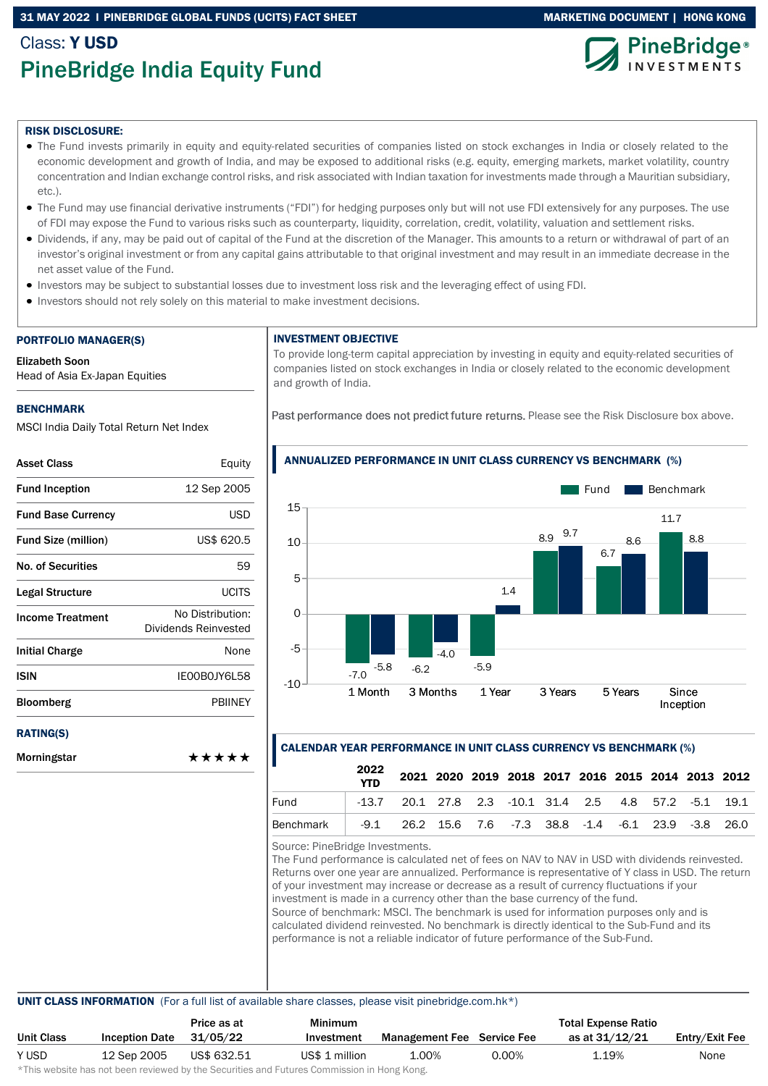# 31 MAY 2022 I PINEBRIDGE GLOBAL FUNDS (UCITS) FACT SHEET MARKETING DOCUMENT | HONG KONG

# Class: Y USD PineBridge India Equity Fund





### RISK DISCLOSURE:

- The Fund invests primarily in equity and equity-related securities of companies listed on stock exchanges in India or closely related to the economic development and growth of India, and may be exposed to additional risks (e.g. equity, emerging markets, market volatility, country concentration and Indian exchange control risks, and risk associated with Indian taxation for investments made through a Mauritian subsidiary, etc.).
- The Fund may use financial derivative instruments ("FDI") for hedging purposes only but will not use FDI extensively for any purposes. The use of FDI may expose the Fund to various risks such as counterparty, liquidity, correlation, credit, volatility, valuation and settlement risks.
- Dividends, if any, may be paid out of capital of the Fund at the discretion of the Manager. This amounts to a return or withdrawal of part of an investor's original investment or from any capital gains attributable to that original investment and may result in an immediate decrease in the net asset value of the Fund.
- Investors may be subject to substantial losses due to investment loss risk and the leveraging effect of using FDI.
- Investors should not rely solely on this material to make investment decisions.

#### PORTFOLIO MANAGER(S)

Elizabeth Soon

Head of Asia Ex-Japan Equities

### BENCHMARK

Morningstar

MSCI India Daily Total Return Net Index

| <b>Asset Class</b>         | Equity                                   |
|----------------------------|------------------------------------------|
| <b>Fund Inception</b>      | 12 Sep 2005                              |
| <b>Fund Base Currency</b>  | USD                                      |
| <b>Fund Size (million)</b> | US\$ 620.5                               |
| <b>No. of Securities</b>   | 59                                       |
| Legal Structure            | <b>UCITS</b>                             |
| <b>Income Treatment</b>    | No Distribution:<br>Dividends Reinvested |
| <b>Initial Charge</b>      | None                                     |
| <b>ISIN</b>                | IE00B0JY6L58                             |
| Bloomberg                  | <b>PRIINFY</b>                           |
| <b>RATING(S)</b>           |                                          |

# INVESTMENT OBJECTIVE

To provide long-term capital appreciation by investing in equity and equity-related securities of companies listed on stock exchanges in India or closely related to the economic development and growth of India.

Past performance does not predict future returns. Please see the Risk Disclosure box above.



### ANNUALIZED PERFORMANCE IN UNIT CLASS CURRENCY VS BENCHMARK (%)

### CALENDAR YEAR PERFORMANCE IN UNIT CLASS CURRENCY VS BENCHMARK (%)

|           | 2022<br><b>YTD</b> |                                                                 |  |  |  | 2021 2020 2019 2018 2017 2016 2015 2014 2013 2012 |  |
|-----------|--------------------|-----------------------------------------------------------------|--|--|--|---------------------------------------------------|--|
| Fund      |                    | $-13.7$ 20.1 27.8 2.3 $-10.1$ 31.4 2.5 4.8 57.2 $-5.1$ 19.1     |  |  |  |                                                   |  |
| Benchmark |                    | -9.1  26.2  15.6  7.6  -7.3  38.8  -1.4  -6.1  23.9  -3.8  26.0 |  |  |  |                                                   |  |

Source: PineBridge Investments.

The Fund performance is calculated net of fees on NAV to NAV in USD with dividends reinvested. Returns over one year are annualized. Performance is representative of Y class in USD. The return of your investment may increase or decrease as a result of currency fluctuations if your investment is made in a currency other than the base currency of the fund. Source of benchmark: MSCI. The benchmark is used for information purposes only and is calculated dividend reinvested. No benchmark is directly identical to the Sub-Fund and its performance is not a reliable indicator of future performance of the Sub-Fund.

#### UNIT CLASS INFORMATION (For a full list of available share classes, please visit pinebridge.com.hk\*)

|            |                       | Price as at | <b>Minimum</b> | <b>Total Expense Ratio</b>        |       |                |                |
|------------|-----------------------|-------------|----------------|-----------------------------------|-------|----------------|----------------|
| Unit Class | <b>Inception Date</b> | 31/05/22    | Investment     | <b>Management Fee</b> Service Fee |       | as at 31/12/21 | Entry/Exit Fee |
| Y USD      | 12 Sep 2005           | US\$ 632.51 | US\$ 1 million | 1.00%                             | 0.00% | 1.19%          | None           |
|            |                       |             |                |                                   |       |                |                |

\*This website has not been reviewed by the Securities and Futures Commission in Hong Kong.

\*\*\*\*\*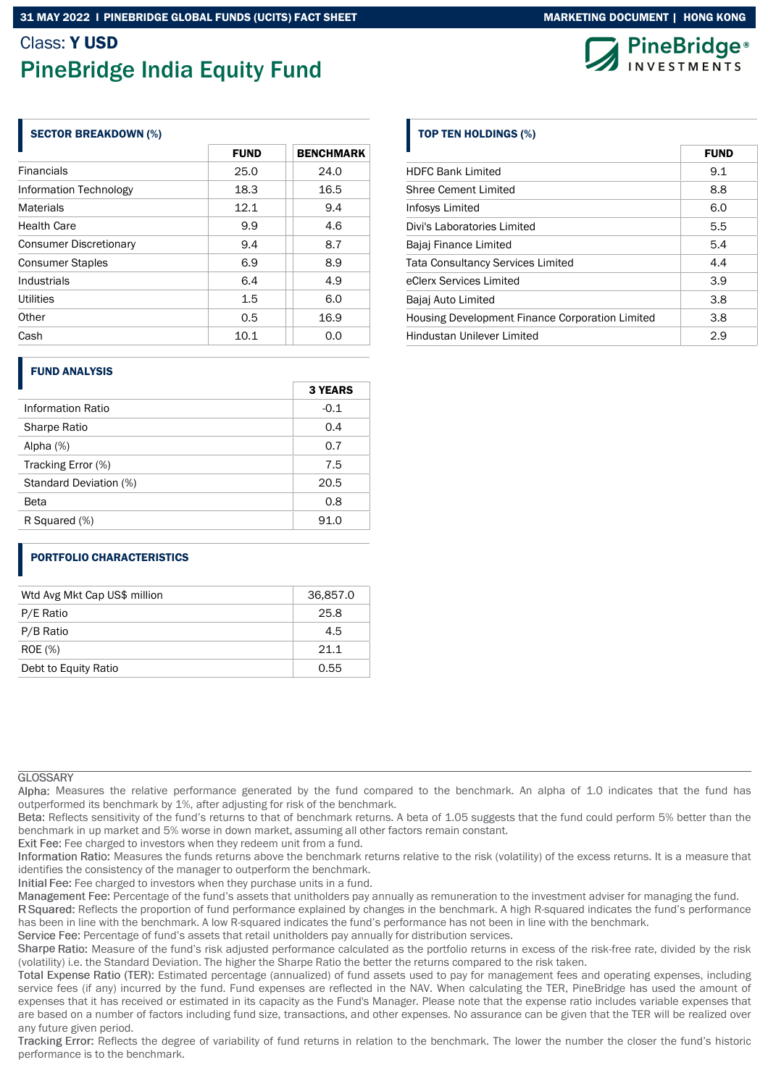# Class: Y USD

# PineBridge India Equity Fund

# SECTOR BREAKDOWN (%)

|                               | <b>FUND</b> | <b>BENCHMARK</b> |  |  |
|-------------------------------|-------------|------------------|--|--|
| <b>Financials</b>             | 25.0        | 24.0             |  |  |
| Information Technology        | 18.3        | 16.5             |  |  |
| <b>Materials</b>              | 12.1        | 9.4              |  |  |
| <b>Health Care</b>            | 9.9         | 4.6              |  |  |
| <b>Consumer Discretionary</b> | 9.4         | 8.7              |  |  |
| <b>Consumer Staples</b>       | 6.9         | 8.9              |  |  |
| Industrials                   | 6.4         | 4.9              |  |  |
| Utilities                     | 1.5         | 6.0              |  |  |
| Other                         | 0.5         | 16.9             |  |  |
| Cash                          | 10.1        | 0.0              |  |  |

# FUND ANALYSIS

|                        | <b>3 YEARS</b> |
|------------------------|----------------|
| Information Ratio      | $-0.1$         |
| Sharpe Ratio           | 0.4            |
| Alpha $(%)$            | 0.7            |
| Tracking Error (%)     | 7.5            |
| Standard Deviation (%) | 20.5           |
| Beta                   | 0.8            |
| R Squared (%)          | 91.0           |

# PORTFOLIO CHARACTERISTICS

| Wtd Avg Mkt Cap US\$ million | 36,857.0 |
|------------------------------|----------|
| P/E Ratio                    | 25.8     |
| P/B Ratio                    | 4.5      |
| <b>ROE</b> (%)               | 21.1     |
| Debt to Equity Ratio         | 0.55     |

# **GLOSSARY**

Alpha: Measures the relative performance generated by the fund compared to the benchmark. An alpha of 1.0 indicates that the fund has outperformed its benchmark by 1%, after adjusting for risk of the benchmark.

Beta: Reflects sensitivity of the fund's returns to that of benchmark returns. A beta of 1.05 suggests that the fund could perform 5% better than the benchmark in up market and 5% worse in down market, assuming all other factors remain constant.

Exit Fee: Fee charged to investors when they redeem unit from a fund.

Information Ratio: Measures the funds returns above the benchmark returns relative to the risk (volatility) of the excess returns. It is a measure that identifies the consistency of the manager to outperform the benchmark.

Initial Fee: Fee charged to investors when they purchase units in a fund.

Management Fee: Percentage of the fund's assets that unitholders pay annually as remuneration to the investment adviser for managing the fund.

R Squared: Reflects the proportion of fund performance explained by changes in the benchmark. A high R-squared indicates the fund's performance has been in line with the benchmark. A low R-squared indicates the fund's performance has not been in line with the benchmark.

Service Fee: Percentage of fund's assets that retail unitholders pay annually for distribution services.

Sharpe Ratio: Measure of the fund's risk adjusted performance calculated as the portfolio returns in excess of the risk-free rate, divided by the risk (volatility) i.e. the Standard Deviation. The higher the Sharpe Ratio the better the returns compared to the risk taken.

Total Expense Ratio (TER): Estimated percentage (annualized) of fund assets used to pay for management fees and operating expenses, including service fees (if any) incurred by the fund. Fund expenses are reflected in the NAV. When calculating the TER, PineBridge has used the amount of expenses that it has received or estimated in its capacity as the Fund's Manager. Please note that the expense ratio includes variable expenses that are based on a number of factors including fund size, transactions, and other expenses. No assurance can be given that the TER will be realized over any future given period.

Tracking Error: Reflects the degree of variability of fund returns in relation to the benchmark. The lower the number the closer the fund's historic performance is to the benchmark.

# TOP TEN HOLDINGS (%)

|                                                 | FUND |
|-------------------------------------------------|------|
| <b>HDFC Bank Limited</b>                        | 9.1  |
| <b>Shree Cement Limited</b>                     | 8.8  |
| Infosys Limited                                 | 6.0  |
| Divi's Laboratories Limited                     | 5.5  |
| Bajaj Finance Limited                           | 5.4  |
| <b>Tata Consultancy Services Limited</b>        | 4.4  |
| eClerx Services Limited                         | 3.9  |
| Bajaj Auto Limited                              | 3.8  |
| Housing Development Finance Corporation Limited | 3.8  |
| <b>Hindustan Unilever Limited</b>               | 2.9  |



Fundation